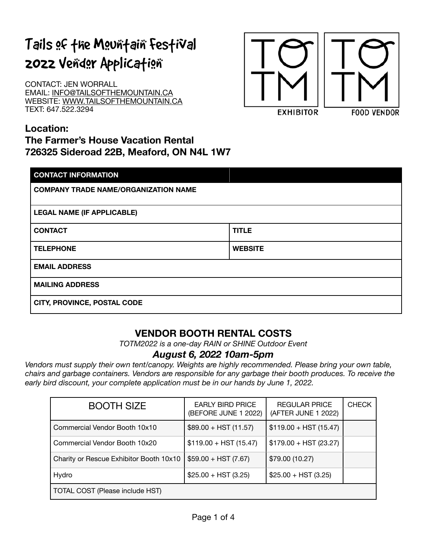# Tails of the Mountain Festival 2022 Vendor Application

CONTACT: JEN WORRALL EMAIL: [INFO@TAILSOFTHEMOUNTAIN.CA](mailto:INFO@TAILSOFTHEMOUNTAIN.CA) WEBSITE: [WWW.TAILSOFTHEMOUNTAIN.CA](http://WWW.TAILSOFTHEMOUNTAIN.CA) TEXT: 647.522.3294



## **Location:**

# **The Farmer's House Vacation Rental 726325 Sideroad 22B, Meaford, ON N4L 1W7**

| <b>CONTACT INFORMATION</b>                  |                |  |
|---------------------------------------------|----------------|--|
| <b>COMPANY TRADE NAME/ORGANIZATION NAME</b> |                |  |
| <b>LEGAL NAME (IF APPLICABLE)</b>           |                |  |
| <b>CONTACT</b>                              | <b>TITLE</b>   |  |
| <b>TELEPHONE</b>                            | <b>WEBSITE</b> |  |
| <b>EMAIL ADDRESS</b>                        |                |  |
| <b>MAILING ADDRESS</b>                      |                |  |
| CITY, PROVINCE, POSTAL CODE                 |                |  |

# **VENDOR BOOTH RENTAL COSTS**

*TOTM2022 is a one-day RAIN or SHINE Outdoor Event* 

## *August 6, 2022 10am-5pm*

*Vendors must supply their own tent/canopy. Weights are highly recommended. Please bring your own table, chairs and garbage containers. Vendors are responsible for any garbage their booth produces. To receive the*  early bird discount, your complete application must be in our hands by June 1, 2022.

| <b>BOOTH SIZE</b>                       | <b>EARLY BIRD PRICE</b><br>(BEFORE JUNE 1 2022) | <b>REGULAR PRICE</b><br>(AFTER JUNE 1 2022) | <b>CHECK</b> |
|-----------------------------------------|-------------------------------------------------|---------------------------------------------|--------------|
| Commercial Vendor Booth 10x10           | $$89.00 + HST (11.57)$                          | $$119.00 + HST (15.47)$                     |              |
| Commercial Vendor Booth 10x20           | $$119.00 + HST (15.47)$                         | $$179.00 + HST (23.27)$                     |              |
| Charity or Rescue Exhibitor Booth 10x10 | $$59.00 + HST (7.67)$                           | \$79.00 (10.27)                             |              |
| Hydro                                   | $$25.00 + HST (3.25)$                           | $$25.00 + HST (3.25)$                       |              |
| TOTAL COST (Please include HST)         |                                                 |                                             |              |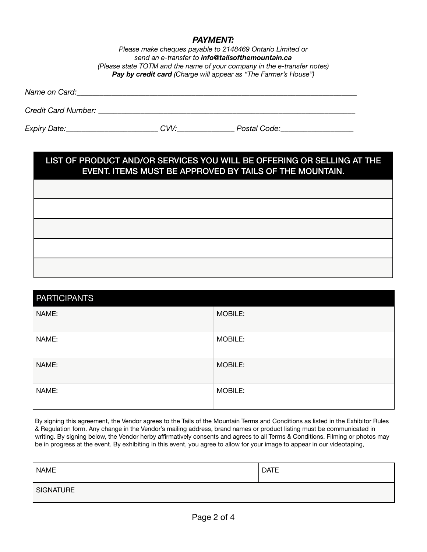#### *PAYMENT:*

*Please make cheques payable to 2148469 Ontario Limited or send an e-transfer to [info@tailsofthemountain.ca](mailto:info@tailsofthemountain.ca) (Please state TOTM and the name of your company in the e-transfer notes) Pay by credit card (Charge will appear as "The Farmer's House")* 

*Name on Card:*  $\Box$ 

*Credit Card Number: \_\_\_\_\_\_\_\_\_\_\_\_\_\_\_\_\_\_\_\_\_\_\_\_\_\_\_\_\_\_\_\_\_\_\_\_\_\_\_\_\_\_\_\_\_\_\_\_\_\_\_\_\_\_\_\_\_\_\_\_\_\_\_\_\_\_\_* 

*Expiry Date:\_\_\_\_\_\_\_\_\_\_\_\_\_\_\_\_\_\_\_\_\_\_\_\_ CVV:\_\_\_\_\_\_\_\_\_\_\_\_\_\_\_ Postal Code:\_\_\_\_\_\_\_\_\_\_\_\_\_\_\_\_\_\_\_* 

## LIST OF PRODUCT AND/OR SERVICES YOU WILL BE OFFERING OR SELLING AT THE EVENT. ITEMS MUST BE APPROVED BY TAILS OF THE MOUNTAIN.

| <b>PARTICIPANTS</b> |         |
|---------------------|---------|
| NAME:               | MOBILE: |
| NAME:               | MOBILE: |
| NAME:               | MOBILE: |
| NAME:               | MOBILE: |

By signing this agreement, the Vendor agrees to the Tails of the Mountain Terms and Conditions as listed in the Exhibitor Rules & Regulation form. Any change in the Vendor's mailing address, brand names or product listing must be communicated in writing. By signing below, the Vendor herby affirmatively consents and agrees to all Terms & Conditions. Filming or photos may be in progress at the event. By exhibiting in this event, you agree to allow for your image to appear in our videotaping,

| <b>NAME</b> | <b>DATE</b> |
|-------------|-------------|
| SIGNATURE   |             |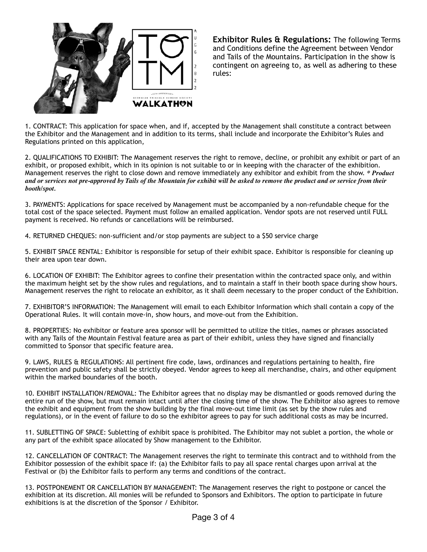

**Exhibitor Rules & Regulations:** The following Terms and Conditions define the Agreement between Vendor and Tails of the Mountains. Participation in the show is contingent on agreeing to, as well as adhering to these rules:

1. CONTRACT: This application for space when, and if, accepted by the Management shall constitute a contract between the Exhibitor and the Management and in addition to its terms, shall include and incorporate the Exhibitor's Rules and Regulations printed on this application,

2. QUALIFICATIONS TO EXHIBIT: The Management reserves the right to remove, decline, or prohibit any exhibit or part of an exhibit, or proposed exhibit, which in its opinion is not suitable to or in keeping with the character of the exhibition. Management reserves the right to close down and remove immediately any exhibitor and exhibit from the show. *\* Product and or services not pre-approved by Tails of the Mountain for exhibit will be asked to remove the product and or service from their booth/spot.* 

3. PAYMENTS: Applications for space received by Management must be accompanied by a non-refundable cheque for the total cost of the space selected. Payment must follow an emailed application. Vendor spots are not reserved until FULL payment is received. No refunds or cancellations will be reimbursed.

4. RETURNED CHEQUES: non-sufficient and/or stop payments are subject to a \$50 service charge

5. EXHIBIT SPACE RENTAL: Exhibitor is responsible for setup of their exhibit space. Exhibitor is responsible for cleaning up their area upon tear down.

6. LOCATION OF EXHIBIT: The Exhibitor agrees to confine their presentation within the contracted space only, and within the maximum height set by the show rules and regulations, and to maintain a staff in their booth space during show hours. Management reserves the right to relocate an exhibitor, as it shall deem necessary to the proper conduct of the Exhibition.

7. EXHIBITOR'S INFORMATION: The Management will email to each Exhibitor Information which shall contain a copy of the Operational Rules. It will contain move-in, show hours, and move-out from the Exhibition.

8. PROPERTIES: No exhibitor or feature area sponsor will be permitted to utilize the titles, names or phrases associated with any Tails of the Mountain Festival feature area as part of their exhibit, unless they have signed and financially committed to Sponsor that specific feature area.

9. LAWS, RULES & REGULATIONS: All pertinent fire code, laws, ordinances and regulations pertaining to health, fire prevention and public safety shall be strictly obeyed. Vendor agrees to keep all merchandise, chairs, and other equipment within the marked boundaries of the booth.

10. EXHIBIT INSTALLATION/REMOVAL: The Exhibitor agrees that no display may be dismantled or goods removed during the entire run of the show, but must remain intact until after the closing time of the show. The Exhibitor also agrees to remove the exhibit and equipment from the show building by the final move-out time limit (as set by the show rules and regulations), or in the event of failure to do so the exhibitor agrees to pay for such additional costs as may be incurred.

11. SUBLETTING OF SPACE: Subletting of exhibit space is prohibited. The Exhibitor may not sublet a portion, the whole or any part of the exhibit space allocated by Show management to the Exhibitor.

12. CANCELLATION OF CONTRACT: The Management reserves the right to terminate this contract and to withhold from the Exhibitor possession of the exhibit space if: (a) the Exhibitor fails to pay all space rental charges upon arrival at the Festival or (b) the Exhibitor fails to perform any terms and conditions of the contract.

13. POSTPONEMENT OR CANCELLATION BY MANAGEMENT: The Management reserves the right to postpone or cancel the exhibition at its discretion. All monies will be refunded to Sponsors and Exhibitors. The option to participate in future exhibitions is at the discretion of the Sponsor / Exhibitor.